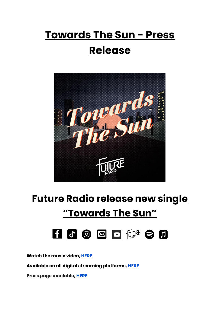## **Towards The Sun - Press Release**



## **Future Radio release new single "Towards The Sun"**



**Watch the music video[, HERE](https://youtu.be/0MZxQx0Xh70)**

**Available on all digital streaming platforms, [HERE](https://distrokid.com/hyperfollow/futureradio/towards-the-sun)**

**Press page available[, HERE](https://futureradioband.co.za/press-3/)**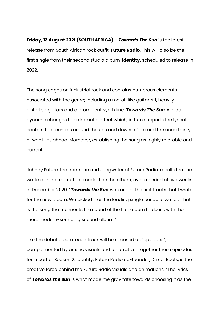**Friday, 13 August 2021 (SOUTH AFRICA) –** *Towards The Sun* is the latest release from South African rock outfit, **Future Radio**. This will also be the first single from their second studio album, **Identity,** scheduled to release in 2022.

The song edges on industrial rock and contains numerous elements associated with the genre; including a metal-like guitar riff, heavily distorted guitars and a prominent synth line. *Towards The Sun*, wields dynamic changes to a dramatic effect which, in turn supports the lyrical content that centres around the ups and downs of life and the uncertainty of what lies ahead. Moreover, establishing the song as highly relatable and current.

Johnny Future, the frontman and songwriter of Future Radio, recalls that he wrote all nine tracks, that made it on the album, over a period of two weeks in December 2020. "*Towards the Sun* was one of the first tracks that I wrote for the new album. We picked it as the leading single because we feel that is the song that connects the sound of the first album the best, with the more modern-sounding second album."

Like the debut album, each track will be released as "episodes", complemented by artistic visuals and a narrative. Together these episodes form part of Season 2: Identity. Future Radio co-founder, Drikus Roets, is the creative force behind the Future Radio visuals and animations. "The lyrics of *Towards the Sun* is what made me gravitate towards choosing it as the